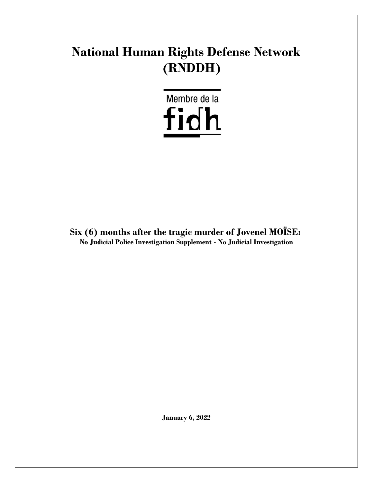# **National Human Rights Defense Network (RNDDH)**

Membre de la fidh

**Six (6) months after the tragic murder of Jovenel MOÏSE: No Judicial Police Investigation Supplement - No Judicial Investigation**

**January 6, 2022**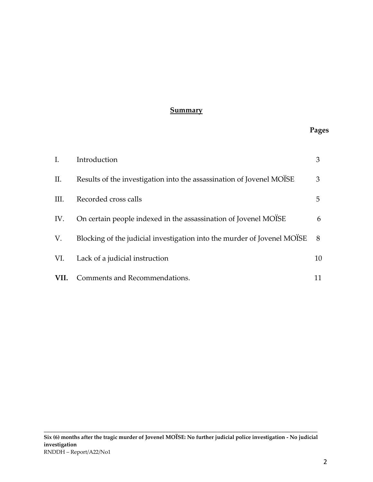#### **Summary**

#### **Pages**

| $\mathbf{I}$ . | Introduction                                                            |    |
|----------------|-------------------------------------------------------------------------|----|
| П.             | Results of the investigation into the assassination of Jovenel MOISE    | 3  |
| III.           | Recorded cross calls                                                    | 5  |
| IV.            | On certain people indexed in the assassination of Jovenel MOISE         | 6  |
| V.             | Blocking of the judicial investigation into the murder of Jovenel MOISE | 8  |
| VI.            | Lack of a judicial instruction                                          | 10 |
| VII.           | Comments and Recommendations.                                           |    |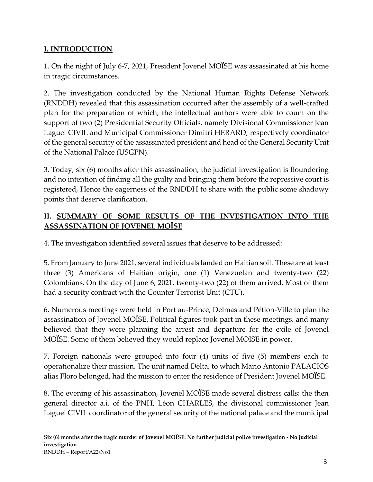# **I. INTRODUCTION**

1. On the night of July 6-7, 2021, President Jovenel MOÏSE was assassinated at his home in tragic circumstances.

2. The investigation conducted by the National Human Rights Defense Network (RNDDH) revealed that this assassination occurred after the assembly of a well-crafted plan for the preparation of which, the intellectual authors were able to count on the support of two (2) Presidential Security Officials, namely Divisional Commissioner Jean Laguel CIVIL and Municipal Commissioner Dimitri HERARD, respectively coordinator of the general security of the assassinated president and head of the General Security Unit of the National Palace (USGPN).

3. Today, six (6) months after this assassination, the judicial investigation is floundering and no intention of finding all the guilty and bringing them before the repressive court is registered, Hence the eagerness of the RNDDH to share with the public some shadowy points that deserve clarification.

# **II. SUMMARY OF SOME RESULTS OF THE INVESTIGATION INTO THE ASSASSINATION OF JOVENEL MOÏSE**

4. The investigation identified several issues that deserve to be addressed:

5. From January to June 2021, several individuals landed on Haitian soil. These are at least three (3) Americans of Haitian origin, one (1) Venezuelan and twenty-two (22) Colombians. On the day of June 6, 2021, twenty-two (22) of them arrived. Most of them had a security contract with the Counter Terrorist Unit (CTU).

6. Numerous meetings were held in Port au-Prince, Delmas and Pétion-Ville to plan the assassination of Jovenel MOÏSE. Political figures took part in these meetings, and many believed that they were planning the arrest and departure for the exile of Jovenel MOISE. Some of them believed they would replace Jovenel MOISE in power.

7. Foreign nationals were grouped into four (4) units of five (5) members each to operationalize their mission. The unit named Delta, to which Mario Antonio PALACIOS alias Floro belonged, had the mission to enter the residence of President Jovenel MOÏSE.

8. The evening of his assassination, Jovenel MOÏSE made several distress calls: the then general director a.i. of the PNH, Léon CHARLES, the divisional commissioner Jean Laguel CIVIL coordinator of the general security of the national palace and the municipal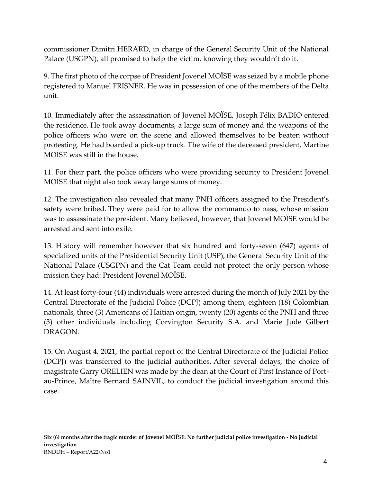commissioner Dimitri HERARD, in charge of the General Security Unit of the National Palace (USGPN), all promised to help the victim, knowing they wouldn't do it.

9. The first photo of the corpse of President Jovenel MOÏSE was seized by a mobile phone registered to Manuel FRISNER. He was in possession of one of the members of the Delta unit.

10. Immediately after the assassination of Jovenel MOÏSE, Joseph Félix BADIO entered the residence. He took away documents, a large sum of money and the weapons of the police officers who were on the scene and allowed themselves to be beaten without protesting. He had boarded a pick-up truck. The wife of the deceased president, Martine MOISE was still in the house.

11. For their part, the police officers who were providing security to President Jovenel MOÏSE that night also took away large sums of money.

12. The investigation also revealed that many PNH officers assigned to the President's safety were bribed. They were paid for to allow the commando to pass, whose mission was to assassinate the president. Many believed, however, that Jovenel MOISE would be arrested and sent into exile.

13. History will remember however that six hundred and forty-seven (647) agents of specialized units of the Presidential Security Unit (USP), the General Security Unit of the National Palace (USGPN) and the Cat Team could not protect the only person whose mission they had: President Jovenel MOISE.

14. At least forty-four (44) individuals were arrested during the month of July 2021 by the Central Directorate of the Judicial Police (DCPJ) among them, eighteen (18) Colombian nationals, three (3) Americans of Haitian origin, twenty (20) agents of the PNH and three (3) other individuals including Corvington Security S.A. and Marie Jude Gilbert DRAGON.

15. On August 4, 2021, the partial report of the Central Directorate of the Judicial Police (DCPJ) was transferred to the judicial authorities. After several delays, the choice of magistrate Garry ORELIEN was made by the dean at the Court of First Instance of Portau-Prince, Maître Bernard SAINVIL, to conduct the judicial investigation around this case.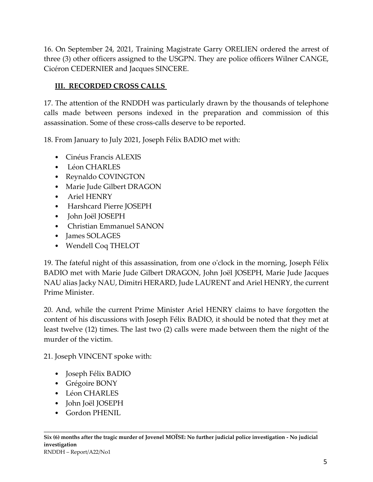16. On September 24, 2021, Training Magistrate Garry ORELIEN ordered the arrest of three (3) other officers assigned to the USGPN. They are police officers Wilner CANGE, Cicéron CEDERNIER and Jacques SINCERE.

# **III. RECORDED CROSS CALLS**

17. The attention of the RNDDH was particularly drawn by the thousands of telephone calls made between persons indexed in the preparation and commission of this assassination. Some of these cross-calls deserve to be reported.

18. From January to July 2021, Joseph Félix BADIO met with:

- Cinéus Francis ALEXIS
- Léon CHARLES
- Reynaldo COVINGTON
- Marie Jude Gilbert DRAGON
- Ariel HENRY
- Harshcard Pierre JOSEPH
- John Joël JOSEPH
- Christian Emmanuel SANON
- James SOLAGES
- Wendell Coq THELOT

19. The fateful night of this assassination, from one o'clock in the morning, Joseph Félix BADIO met with Marie Jude Gilbert DRAGON, John Joël JOSEPH, Marie Jude Jacques NAU alias Jacky NAU, Dimitri HERARD, Jude LAURENT and Ariel HENRY, the current Prime Minister.

20. And, while the current Prime Minister Ariel HENRY claims to have forgotten the content of his discussions with Joseph Félix BADIO, it should be noted that they met at least twelve (12) times. The last two (2) calls were made between them the night of the murder of the victim.

21. Joseph VINCENT spoke with:

- Joseph Félix BADIO
- Grégoire BONY
- Léon CHARLES
- John Joël JOSEPH
- Gordon PHENIL

**\_\_\_\_\_\_\_\_\_\_\_\_\_\_\_\_\_\_\_\_\_\_\_\_\_\_\_\_\_\_\_\_\_\_\_\_\_\_\_\_\_\_\_\_\_\_\_\_\_\_\_\_\_\_\_\_\_\_\_\_\_\_\_\_\_\_\_\_\_\_\_\_\_\_\_\_\_\_\_\_\_\_\_\_\_\_\_\_\_\_**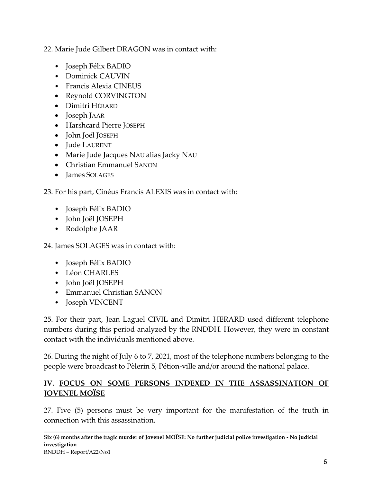22. Marie Jude Gilbert DRAGON was in contact with:

- Joseph Félix BADIO
- Dominick CAUVIN
- Francis Alexia CINEUS
- Reynold CORVINGTON
- Dimitri HÉRARD
- Joseph JAAR
- Harshcard Pierre JOSEPH
- John Joël JOSEPH
- Jude LAURENT
- Marie Jude Jacques NAU alias Jacky NAU
- Christian Emmanuel SANON
- James SOLAGES

23. For his part, Cinéus Francis ALEXIS was in contact with:

- Joseph Félix BADIO
- John Joël JOSEPH
- Rodolphe JAAR

24. James SOLAGES was in contact with:

- Joseph Félix BADIO
- Léon CHARLES
- John Joël JOSEPH
- Emmanuel Christian SANON
- Joseph VINCENT

25. For their part, Jean Laguel CIVIL and Dimitri HERARD used different telephone numbers during this period analyzed by the RNDDH. However, they were in constant contact with the individuals mentioned above.

26. During the night of July 6 to 7, 2021, most of the telephone numbers belonging to the people were broadcast to Pèlerin 5, Pétion-ville and/or around the national palace.

### **IV. FOCUS ON SOME PERSONS INDEXED IN THE ASSASSINATION OF JOVENEL MOÏSE**

27. Five (5) persons must be very important for the manifestation of the truth in connection with this assassination.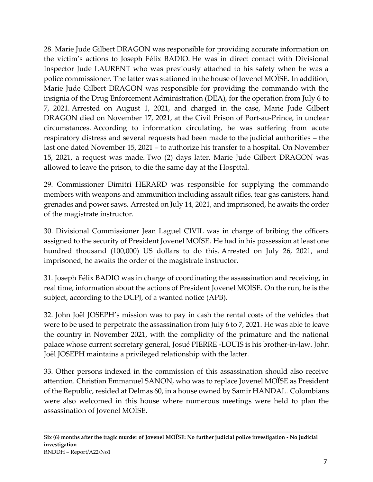28. Marie Jude Gilbert DRAGON was responsible for providing accurate information on the victim's actions to Joseph Félix BADIO. He was in direct contact with Divisional Inspector Jude LAURENT who was previously attached to his safety when he was a police commissioner. The latter was stationed in the house of Jovenel MOISE. In addition, Marie Jude Gilbert DRAGON was responsible for providing the commando with the insignia of the Drug Enforcement Administration (DEA), for the operation from July 6 to 7, 2021. Arrested on August 1, 2021, and charged in the case, Marie Jude Gilbert DRAGON died on November 17, 2021, at the Civil Prison of Port-au-Prince, in unclear circumstances. According to information circulating, he was suffering from acute respiratory distress and several requests had been made to the judicial authorities – the last one dated November 15, 2021 – to authorize his transfer to a hospital. On November 15, 2021, a request was made. Two (2) days later, Marie Jude Gilbert DRAGON was allowed to leave the prison, to die the same day at the Hospital.

29. Commissioner Dimitri HERARD was responsible for supplying the commando members with weapons and ammunition including assault rifles, tear gas canisters, hand grenades and power saws. Arrested on July 14, 2021, and imprisoned, he awaits the order of the magistrate instructor.

30. Divisional Commissioner Jean Laguel CIVIL was in charge of bribing the officers assigned to the security of President Jovenel MOÏSE. He had in his possession at least one hundred thousand (100,000) US dollars to do this. Arrested on July 26, 2021, and imprisoned, he awaits the order of the magistrate instructor.

31. Joseph Félix BADIO was in charge of coordinating the assassination and receiving, in real time, information about the actions of President Jovenel MOÏSE. On the run, he is the subject, according to the DCPJ, of a wanted notice (APB).

32. John Joël JOSEPH's mission was to pay in cash the rental costs of the vehicles that were to be used to perpetrate the assassination from July 6 to 7, 2021. He was able to leave the country in November 2021, with the complicity of the primature and the national palace whose current secretary general, Josué PIERRE -LOUIS is his brother-in-law. John Joël JOSEPH maintains a privileged relationship with the latter.

33. Other persons indexed in the commission of this assassination should also receive attention. Christian Emmanuel SANON, who was to replace Jovenel MOÏSE as President of the Republic, resided at Delmas 60, in a house owned by Samir HANDAL. Colombians were also welcomed in this house where numerous meetings were held to plan the assassination of Jovenel MOÏSE.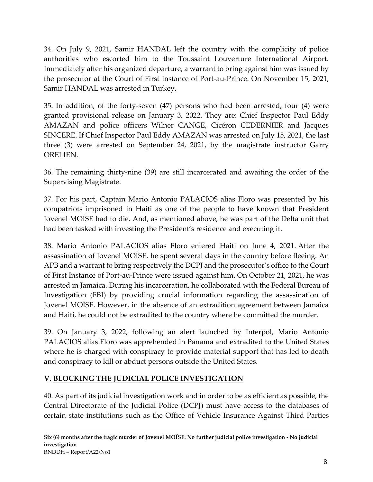34. On July 9, 2021, Samir HANDAL left the country with the complicity of police authorities who escorted him to the Toussaint Louverture International Airport. Immediately after his organized departure, a warrant to bring against him was issued by the prosecutor at the Court of First Instance of Port-au-Prince. On November 15, 2021, Samir HANDAL was arrested in Turkey.

35. In addition, of the forty-seven (47) persons who had been arrested, four (4) were granted provisional release on January 3, 2022. They are: Chief Inspector Paul Eddy AMAZAN and police officers Wilner CANGE, Cicéron CEDERNIER and Jacques SINCERE. If Chief Inspector Paul Eddy AMAZAN was arrested on July 15, 2021, the last three (3) were arrested on September 24, 2021, by the magistrate instructor Garry ORELIEN.

36. The remaining thirty-nine (39) are still incarcerated and awaiting the order of the Supervising Magistrate.

37. For his part, Captain Mario Antonio PALACIOS alias Floro was presented by his compatriots imprisoned in Haiti as one of the people to have known that President Jovenel MOISE had to die. And, as mentioned above, he was part of the Delta unit that had been tasked with investing the President's residence and executing it.

38. Mario Antonio PALACIOS alias Floro entered Haiti on June 4, 2021. After the assassination of Jovenel MOÏSE, he spent several days in the country before fleeing. An APB and a warrant to bring respectively the DCPJ and the prosecutor's office to the Court of First Instance of Port-au-Prince were issued against him. On October 21, 2021, he was arrested in Jamaica. During his incarceration, he collaborated with the Federal Bureau of Investigation (FBI) by providing crucial information regarding the assassination of Jovenel MOÏSE. However, in the absence of an extradition agreement between Jamaica and Haiti, he could not be extradited to the country where he committed the murder.

39. On January 3, 2022, following an alert launched by Interpol, Mario Antonio PALACIOS alias Floro was apprehended in Panama and extradited to the United States where he is charged with conspiracy to provide material support that has led to death and conspiracy to kill or abduct persons outside the United States.

# **V**. **BLOCKING THE JUDICIAL POLICE INVESTIGATION**

40. As part of its judicial investigation work and in order to be as efficient as possible, the Central Directorate of the Judicial Police (DCPJ) must have access to the databases of certain state institutions such as the Office of Vehicle Insurance Against Third Parties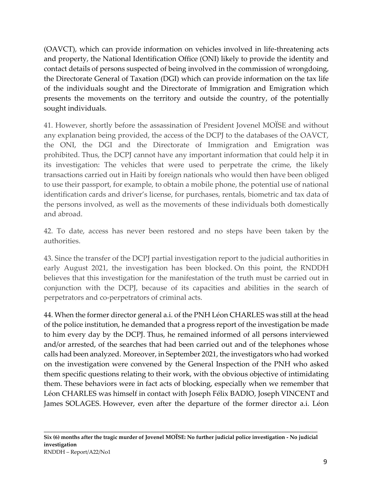(OAVCT), which can provide information on vehicles involved in life-threatening acts and property, the National Identification Office (ONI) likely to provide the identity and contact details of persons suspected of being involved in the commission of wrongdoing, the Directorate General of Taxation (DGI) which can provide information on the tax life of the individuals sought and the Directorate of Immigration and Emigration which presents the movements on the territory and outside the country, of the potentially sought individuals.

41. However, shortly before the assassination of President Jovenel MOÏSE and without any explanation being provided, the access of the DCPJ to the databases of the OAVCT, the ONI, the DGI and the Directorate of Immigration and Emigration was prohibited. Thus, the DCPJ cannot have any important information that could help it in its investigation: The vehicles that were used to perpetrate the crime, the likely transactions carried out in Haiti by foreign nationals who would then have been obliged to use their passport, for example, to obtain a mobile phone, the potential use of national identification cards and driver's license, for purchases, rentals, biometric and tax data of the persons involved, as well as the movements of these individuals both domestically and abroad.

42. To date, access has never been restored and no steps have been taken by the authorities.

43. Since the transfer of the DCPJ partial investigation report to the judicial authorities in early August 2021, the investigation has been blocked. On this point, the RNDDH believes that this investigation for the manifestation of the truth must be carried out in conjunction with the DCPJ, because of its capacities and abilities in the search of perpetrators and co-perpetrators of criminal acts.

44. When the former director general a.i. of the PNH Léon CHARLES was still at the head of the police institution, he demanded that a progress report of the investigation be made to him every day by the DCPJ. Thus, he remained informed of all persons interviewed and/or arrested, of the searches that had been carried out and of the telephones whose calls had been analyzed. Moreover, in September 2021, the investigators who had worked on the investigation were convened by the General Inspection of the PNH who asked them specific questions relating to their work, with the obvious objective of intimidating them. These behaviors were in fact acts of blocking, especially when we remember that Léon CHARLES was himself in contact with Joseph Félix BADIO, Joseph VINCENT and James SOLAGES. However, even after the departure of the former director a.i. Léon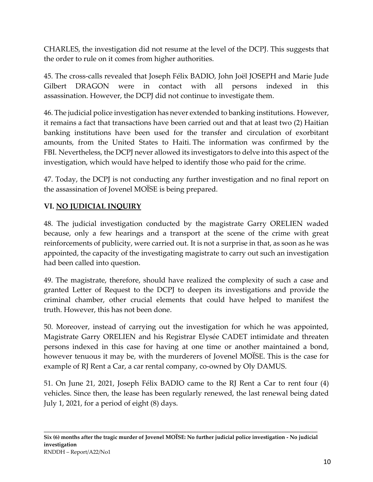CHARLES, the investigation did not resume at the level of the DCPJ. This suggests that the order to rule on it comes from higher authorities.

45. The cross-calls revealed that Joseph Félix BADIO, John Joël JOSEPH and Marie Jude Gilbert DRAGON were in contact with all persons indexed in this assassination. However, the DCPJ did not continue to investigate them.

46. The judicial police investigation has never extended to banking institutions. However, it remains a fact that transactions have been carried out and that at least two (2) Haitian banking institutions have been used for the transfer and circulation of exorbitant amounts, from the United States to Haiti. The information was confirmed by the FBI. Nevertheless, the DCPJ never allowed its investigators to delve into this aspect of the investigation, which would have helped to identify those who paid for the crime.

47. Today, the DCPJ is not conducting any further investigation and no final report on the assassination of Jovenel MOÏSE is being prepared.

# **VI. NO JUDICIAL INQUIRY**

48. The judicial investigation conducted by the magistrate Garry ORELIEN waded because, only a few hearings and a transport at the scene of the crime with great reinforcements of publicity, were carried out. It is not a surprise in that, as soon as he was appointed, the capacity of the investigating magistrate to carry out such an investigation had been called into question.

49. The magistrate, therefore, should have realized the complexity of such a case and granted Letter of Request to the DCPJ to deepen its investigations and provide the criminal chamber, other crucial elements that could have helped to manifest the truth. However, this has not been done.

50. Moreover, instead of carrying out the investigation for which he was appointed, Magistrate Garry ORELIEN and his Registrar Elysée CADET intimidate and threaten persons indexed in this case for having at one time or another maintained a bond, however tenuous it may be, with the murderers of Jovenel MOISE. This is the case for example of RJ Rent a Car, a car rental company, co-owned by Oly DAMUS.

51. On June 21, 2021, Joseph Félix BADIO came to the RJ Rent a Car to rent four (4) vehicles. Since then, the lease has been regularly renewed, the last renewal being dated July 1, 2021, for a period of eight (8) days.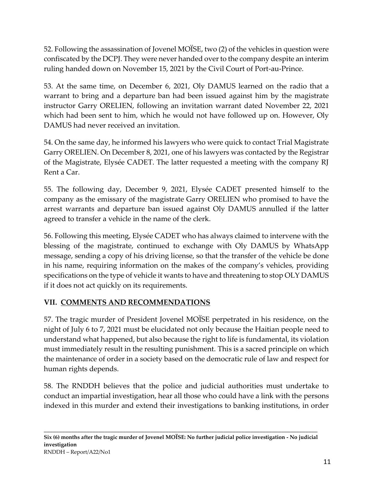52. Following the assassination of Jovenel MOÏSE, two (2) of the vehicles in question were confiscated by the DCPJ. They were never handed over to the company despite an interim ruling handed down on November 15, 2021 by the Civil Court of Port-au-Prince.

53. At the same time, on December 6, 2021, Oly DAMUS learned on the radio that a warrant to bring and a departure ban had been issued against him by the magistrate instructor Garry ORELIEN, following an invitation warrant dated November 22, 2021 which had been sent to him, which he would not have followed up on. However, Oly DAMUS had never received an invitation.

54. On the same day, he informed his lawyers who were quick to contact Trial Magistrate Garry ORELIEN. On December 8, 2021, one of his lawyers was contacted by the Registrar of the Magistrate, Elysée CADET. The latter requested a meeting with the company RJ Rent a Car.

55. The following day, December 9, 2021, Elysée CADET presented himself to the company as the emissary of the magistrate Garry ORELIEN who promised to have the arrest warrants and departure ban issued against Oly DAMUS annulled if the latter agreed to transfer a vehicle in the name of the clerk.

56. Following this meeting, Elysée CADET who has always claimed to intervene with the blessing of the magistrate, continued to exchange with Oly DAMUS by WhatsApp message, sending a copy of his driving license, so that the transfer of the vehicle be done in his name, requiring information on the makes of the company's vehicles, providing specifications on the type of vehicle it wants to have and threatening to stop OLY DAMUS if it does not act quickly on its requirements.

# **VII. COMMENTS AND RECOMMENDATIONS**

57. The tragic murder of President Jovenel MOÏSE perpetrated in his residence, on the night of July 6 to 7, 2021 must be elucidated not only because the Haitian people need to understand what happened, but also because the right to life is fundamental, its violation must immediately result in the resulting punishment. This is a sacred principle on which the maintenance of order in a society based on the democratic rule of law and respect for human rights depends.

58. The RNDDH believes that the police and judicial authorities must undertake to conduct an impartial investigation, hear all those who could have a link with the persons indexed in this murder and extend their investigations to banking institutions, in order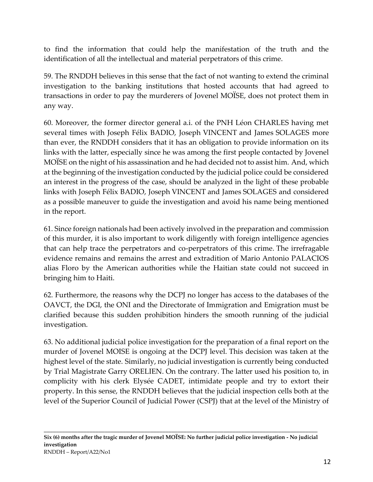to find the information that could help the manifestation of the truth and the identification of all the intellectual and material perpetrators of this crime.

59. The RNDDH believes in this sense that the fact of not wanting to extend the criminal investigation to the banking institutions that hosted accounts that had agreed to transactions in order to pay the murderers of Jovenel MOÏSE, does not protect them in any way.

60. Moreover, the former director general a.i. of the PNH Léon CHARLES having met several times with Joseph Félix BADIO, Joseph VINCENT and James SOLAGES more than ever, the RNDDH considers that it has an obligation to provide information on its links with the latter, especially since he was among the first people contacted by Jovenel MOISE on the night of his assassination and he had decided not to assist him. And, which at the beginning of the investigation conducted by the judicial police could be considered an interest in the progress of the case, should be analyzed in the light of these probable links with Joseph Félix BADIO, Joseph VINCENT and James SOLAGES and considered as a possible maneuver to guide the investigation and avoid his name being mentioned in the report.

61. Since foreign nationals had been actively involved in the preparation and commission of this murder, it is also important to work diligently with foreign intelligence agencies that can help trace the perpetrators and co-perpetrators of this crime. The irrefragable evidence remains and remains the arrest and extradition of Mario Antonio PALACIOS alias Floro by the American authorities while the Haitian state could not succeed in bringing him to Haiti.

62. Furthermore, the reasons why the DCPJ no longer has access to the databases of the OAVCT, the DGI, the ONI and the Directorate of Immigration and Emigration must be clarified because this sudden prohibition hinders the smooth running of the judicial investigation.

63. No additional judicial police investigation for the preparation of a final report on the murder of Jovenel MOISE is ongoing at the DCPJ level. This decision was taken at the highest level of the state. Similarly, no judicial investigation is currently being conducted by Trial Magistrate Garry ORELIEN. On the contrary. The latter used his position to, in complicity with his clerk Elysée CADET, intimidate people and try to extort their property. In this sense, the RNDDH believes that the judicial inspection cells both at the level of the Superior Council of Judicial Power (CSPJ) that at the level of the Ministry of